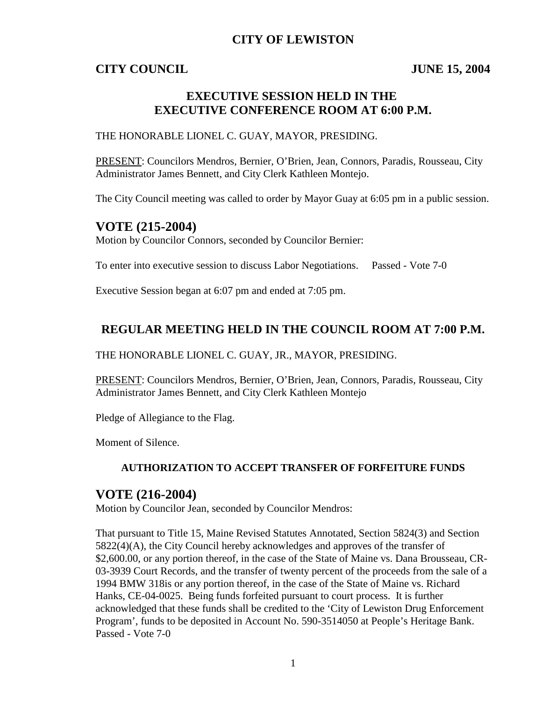### **CITY OF LEWISTON**

### **CITY COUNCIL JUNE 15, 2004**

# **EXECUTIVE SESSION HELD IN THE EXECUTIVE CONFERENCE ROOM AT 6:00 P.M.**

#### THE HONORABLE LIONEL C. GUAY, MAYOR, PRESIDING.

PRESENT: Councilors Mendros, Bernier, O'Brien, Jean, Connors, Paradis, Rousseau, City Administrator James Bennett, and City Clerk Kathleen Montejo.

The City Council meeting was called to order by Mayor Guay at 6:05 pm in a public session.

### **VOTE (215-2004)**

Motion by Councilor Connors, seconded by Councilor Bernier:

To enter into executive session to discuss Labor Negotiations. Passed - Vote 7-0

Executive Session began at 6:07 pm and ended at 7:05 pm.

### **REGULAR MEETING HELD IN THE COUNCIL ROOM AT 7:00 P.M.**

THE HONORABLE LIONEL C. GUAY, JR., MAYOR, PRESIDING.

PRESENT: Councilors Mendros, Bernier, O'Brien, Jean, Connors, Paradis, Rousseau, City Administrator James Bennett, and City Clerk Kathleen Montejo

Pledge of Allegiance to the Flag.

Moment of Silence.

#### **AUTHORIZATION TO ACCEPT TRANSFER OF FORFEITURE FUNDS**

### **VOTE (216-2004)**

Motion by Councilor Jean, seconded by Councilor Mendros:

That pursuant to Title 15, Maine Revised Statutes Annotated, Section 5824(3) and Section 5822(4)(A), the City Council hereby acknowledges and approves of the transfer of \$2,600.00, or any portion thereof, in the case of the State of Maine vs. Dana Brousseau, CR-03-3939 Court Records, and the transfer of twenty percent of the proceeds from the sale of a 1994 BMW 318is or any portion thereof, in the case of the State of Maine vs. Richard Hanks, CE-04-0025. Being funds forfeited pursuant to court process. It is further acknowledged that these funds shall be credited to the 'City of Lewiston Drug Enforcement Program', funds to be deposited in Account No. 590-3514050 at People's Heritage Bank. Passed - Vote 7-0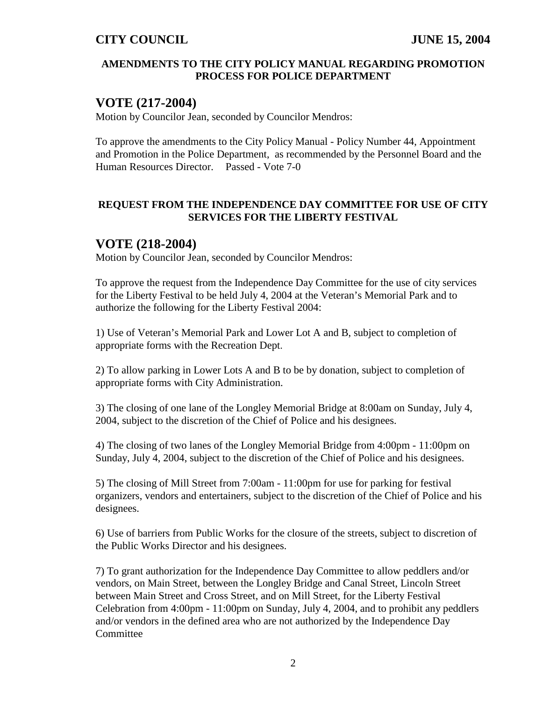#### **AMENDMENTS TO THE CITY POLICY MANUAL REGARDING PROMOTION PROCESS FOR POLICE DEPARTMENT**

## **VOTE (217-2004)**

Motion by Councilor Jean, seconded by Councilor Mendros:

To approve the amendments to the City Policy Manual - Policy Number 44, Appointment and Promotion in the Police Department, as recommended by the Personnel Board and the Human Resources Director. Passed - Vote 7-0

#### **REQUEST FROM THE INDEPENDENCE DAY COMMITTEE FOR USE OF CITY SERVICES FOR THE LIBERTY FESTIVAL**

### **VOTE (218-2004)**

Motion by Councilor Jean, seconded by Councilor Mendros:

To approve the request from the Independence Day Committee for the use of city services for the Liberty Festival to be held July 4, 2004 at the Veteran's Memorial Park and to authorize the following for the Liberty Festival 2004:

1) Use of Veteran's Memorial Park and Lower Lot A and B, subject to completion of appropriate forms with the Recreation Dept.

2) To allow parking in Lower Lots A and B to be by donation, subject to completion of appropriate forms with City Administration.

3) The closing of one lane of the Longley Memorial Bridge at 8:00am on Sunday, July 4, 2004, subject to the discretion of the Chief of Police and his designees.

4) The closing of two lanes of the Longley Memorial Bridge from 4:00pm - 11:00pm on Sunday, July 4, 2004, subject to the discretion of the Chief of Police and his designees.

5) The closing of Mill Street from 7:00am - 11:00pm for use for parking for festival organizers, vendors and entertainers, subject to the discretion of the Chief of Police and his designees.

6) Use of barriers from Public Works for the closure of the streets, subject to discretion of the Public Works Director and his designees.

7) To grant authorization for the Independence Day Committee to allow peddlers and/or vendors, on Main Street, between the Longley Bridge and Canal Street, Lincoln Street between Main Street and Cross Street, and on Mill Street, for the Liberty Festival Celebration from 4:00pm - 11:00pm on Sunday, July 4, 2004, and to prohibit any peddlers and/or vendors in the defined area who are not authorized by the Independence Day **Committee**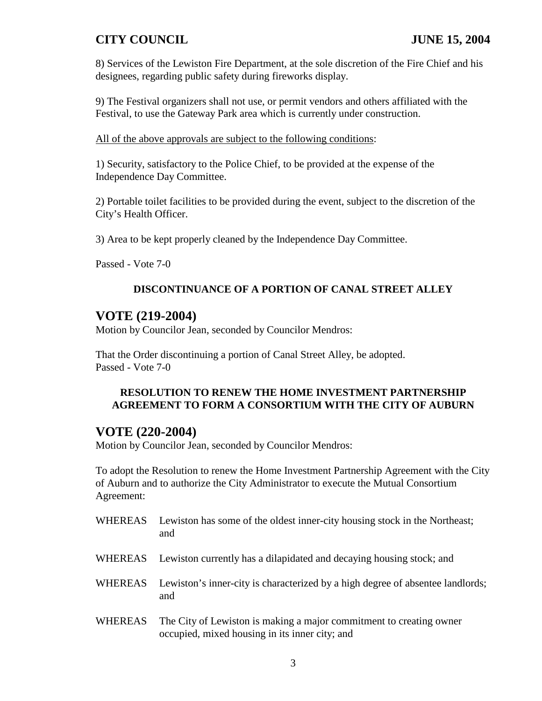8) Services of the Lewiston Fire Department, at the sole discretion of the Fire Chief and his designees, regarding public safety during fireworks display.

9) The Festival organizers shall not use, or permit vendors and others affiliated with the Festival, to use the Gateway Park area which is currently under construction.

All of the above approvals are subject to the following conditions:

1) Security, satisfactory to the Police Chief, to be provided at the expense of the Independence Day Committee.

2) Portable toilet facilities to be provided during the event, subject to the discretion of the City's Health Officer.

3) Area to be kept properly cleaned by the Independence Day Committee.

Passed - Vote 7-0

### **DISCONTINUANCE OF A PORTION OF CANAL STREET ALLEY**

### **VOTE (219-2004)**

Motion by Councilor Jean, seconded by Councilor Mendros:

That the Order discontinuing a portion of Canal Street Alley, be adopted. Passed - Vote 7-0

#### **RESOLUTION TO RENEW THE HOME INVESTMENT PARTNERSHIP AGREEMENT TO FORM A CONSORTIUM WITH THE CITY OF AUBURN**

### **VOTE (220-2004)**

Motion by Councilor Jean, seconded by Councilor Mendros:

To adopt the Resolution to renew the Home Investment Partnership Agreement with the City of Auburn and to authorize the City Administrator to execute the Mutual Consortium Agreement:

- WHEREAS Lewiston has some of the oldest inner-city housing stock in the Northeast; and
- WHEREAS Lewiston currently has a dilapidated and decaying housing stock; and
- WHEREAS Lewiston's inner-city is characterized by a high degree of absentee landlords; and
- WHEREAS The City of Lewiston is making a major commitment to creating owner occupied, mixed housing in its inner city; and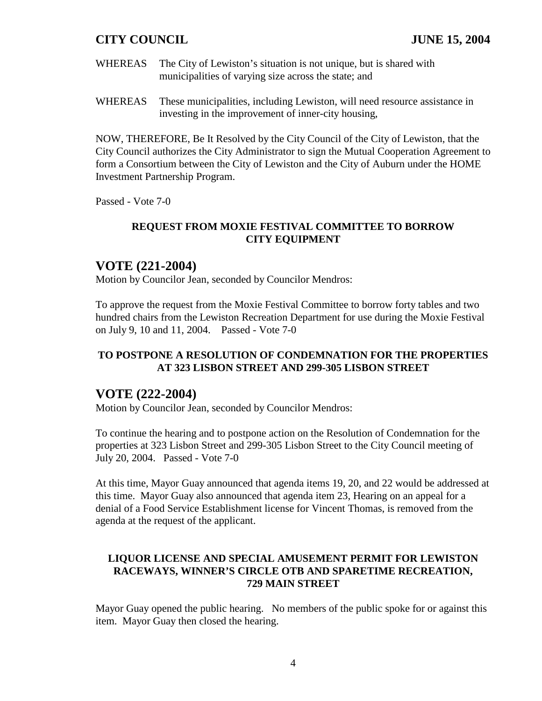- WHEREAS The City of Lewiston's situation is not unique, but is shared with municipalities of varying size across the state; and
- WHEREAS These municipalities, including Lewiston, will need resource assistance in investing in the improvement of inner-city housing,

NOW, THEREFORE, Be It Resolved by the City Council of the City of Lewiston, that the City Council authorizes the City Administrator to sign the Mutual Cooperation Agreement to form a Consortium between the City of Lewiston and the City of Auburn under the HOME Investment Partnership Program.

Passed - Vote 7-0

### **REQUEST FROM MOXIE FESTIVAL COMMITTEE TO BORROW CITY EQUIPMENT**

## **VOTE (221-2004)**

Motion by Councilor Jean, seconded by Councilor Mendros:

To approve the request from the Moxie Festival Committee to borrow forty tables and two hundred chairs from the Lewiston Recreation Department for use during the Moxie Festival on July 9, 10 and 11, 2004. Passed - Vote 7-0

### **TO POSTPONE A RESOLUTION OF CONDEMNATION FOR THE PROPERTIES AT 323 LISBON STREET AND 299-305 LISBON STREET**

### **VOTE (222-2004)**

Motion by Councilor Jean, seconded by Councilor Mendros:

To continue the hearing and to postpone action on the Resolution of Condemnation for the properties at 323 Lisbon Street and 299-305 Lisbon Street to the City Council meeting of July 20, 2004. Passed - Vote 7-0

At this time, Mayor Guay announced that agenda items 19, 20, and 22 would be addressed at this time. Mayor Guay also announced that agenda item 23, Hearing on an appeal for a denial of a Food Service Establishment license for Vincent Thomas, is removed from the agenda at the request of the applicant.

#### **LIQUOR LICENSE AND SPECIAL AMUSEMENT PERMIT FOR LEWISTON RACEWAYS, WINNER'S CIRCLE OTB AND SPARETIME RECREATION, 729 MAIN STREET**

Mayor Guay opened the public hearing. No members of the public spoke for or against this item. Mayor Guay then closed the hearing.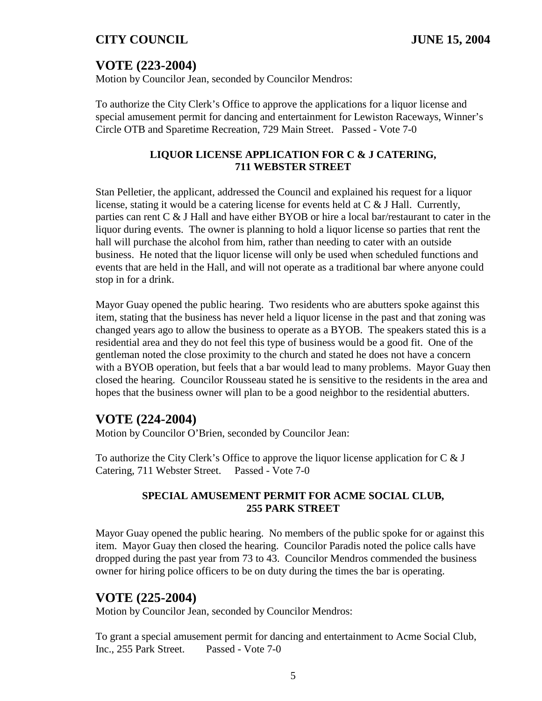# **VOTE (223-2004)**

Motion by Councilor Jean, seconded by Councilor Mendros:

To authorize the City Clerk's Office to approve the applications for a liquor license and special amusement permit for dancing and entertainment for Lewiston Raceways, Winner's Circle OTB and Sparetime Recreation, 729 Main Street. Passed - Vote 7-0

### **LIQUOR LICENSE APPLICATION FOR C & J CATERING, 711 WEBSTER STREET**

Stan Pelletier, the applicant, addressed the Council and explained his request for a liquor license, stating it would be a catering license for events held at  $C \& J Hall$ . Currently, parties can rent C & J Hall and have either BYOB or hire a local bar/restaurant to cater in the liquor during events. The owner is planning to hold a liquor license so parties that rent the hall will purchase the alcohol from him, rather than needing to cater with an outside business. He noted that the liquor license will only be used when scheduled functions and events that are held in the Hall, and will not operate as a traditional bar where anyone could stop in for a drink.

Mayor Guay opened the public hearing. Two residents who are abutters spoke against this item, stating that the business has never held a liquor license in the past and that zoning was changed years ago to allow the business to operate as a BYOB. The speakers stated this is a residential area and they do not feel this type of business would be a good fit. One of the gentleman noted the close proximity to the church and stated he does not have a concern with a BYOB operation, but feels that a bar would lead to many problems. Mayor Guay then closed the hearing. Councilor Rousseau stated he is sensitive to the residents in the area and hopes that the business owner will plan to be a good neighbor to the residential abutters.

# **VOTE (224-2004)**

Motion by Councilor O'Brien, seconded by Councilor Jean:

To authorize the City Clerk's Office to approve the liquor license application for  $C \& J$ Catering, 711 Webster Street. Passed - Vote 7-0

### **SPECIAL AMUSEMENT PERMIT FOR ACME SOCIAL CLUB, 255 PARK STREET**

Mayor Guay opened the public hearing. No members of the public spoke for or against this item. Mayor Guay then closed the hearing. Councilor Paradis noted the police calls have dropped during the past year from 73 to 43. Councilor Mendros commended the business owner for hiring police officers to be on duty during the times the bar is operating.

# **VOTE (225-2004)**

Motion by Councilor Jean, seconded by Councilor Mendros:

To grant a special amusement permit for dancing and entertainment to Acme Social Club, Inc., 255 Park Street. Passed - Vote 7-0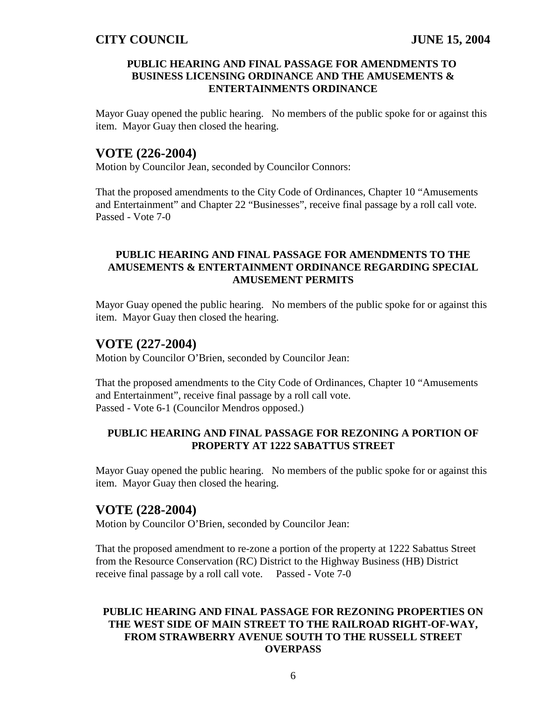#### **PUBLIC HEARING AND FINAL PASSAGE FOR AMENDMENTS TO BUSINESS LICENSING ORDINANCE AND THE AMUSEMENTS & ENTERTAINMENTS ORDINANCE**

Mayor Guay opened the public hearing. No members of the public spoke for or against this item. Mayor Guay then closed the hearing.

### **VOTE (226-2004)**

Motion by Councilor Jean, seconded by Councilor Connors:

That the proposed amendments to the City Code of Ordinances, Chapter 10 "Amusements and Entertainment" and Chapter 22 "Businesses", receive final passage by a roll call vote. Passed - Vote 7-0

#### **PUBLIC HEARING AND FINAL PASSAGE FOR AMENDMENTS TO THE AMUSEMENTS & ENTERTAINMENT ORDINANCE REGARDING SPECIAL AMUSEMENT PERMITS**

Mayor Guay opened the public hearing. No members of the public spoke for or against this item. Mayor Guay then closed the hearing.

## **VOTE (227-2004)**

Motion by Councilor O'Brien, seconded by Councilor Jean:

That the proposed amendments to the City Code of Ordinances, Chapter 10 "Amusements and Entertainment", receive final passage by a roll call vote. Passed - Vote 6-1 (Councilor Mendros opposed.)

### **PUBLIC HEARING AND FINAL PASSAGE FOR REZONING A PORTION OF PROPERTY AT 1222 SABATTUS STREET**

Mayor Guay opened the public hearing. No members of the public spoke for or against this item. Mayor Guay then closed the hearing.

### **VOTE (228-2004)**

Motion by Councilor O'Brien, seconded by Councilor Jean:

That the proposed amendment to re-zone a portion of the property at 1222 Sabattus Street from the Resource Conservation (RC) District to the Highway Business (HB) District receive final passage by a roll call vote. Passed - Vote 7-0

### **PUBLIC HEARING AND FINAL PASSAGE FOR REZONING PROPERTIES ON THE WEST SIDE OF MAIN STREET TO THE RAILROAD RIGHT-OF-WAY, FROM STRAWBERRY AVENUE SOUTH TO THE RUSSELL STREET OVERPASS**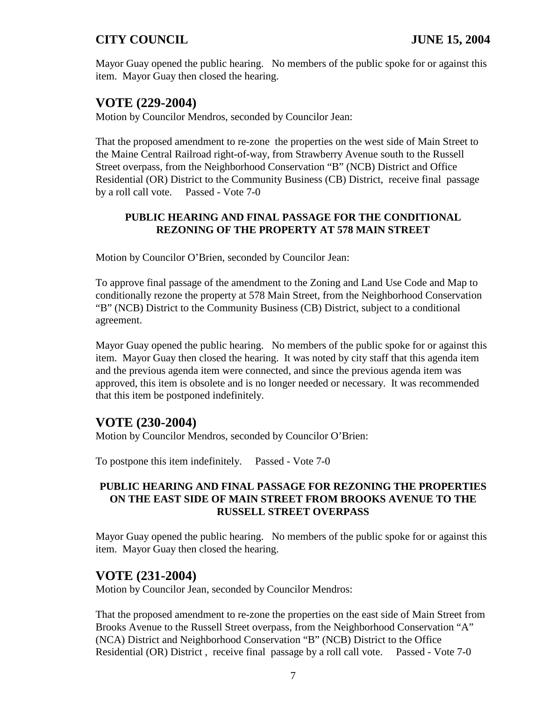Mayor Guay opened the public hearing. No members of the public spoke for or against this item. Mayor Guay then closed the hearing.

# **VOTE (229-2004)**

Motion by Councilor Mendros, seconded by Councilor Jean:

That the proposed amendment to re-zone the properties on the west side of Main Street to the Maine Central Railroad right-of-way, from Strawberry Avenue south to the Russell Street overpass, from the Neighborhood Conservation "B" (NCB) District and Office Residential (OR) District to the Community Business (CB) District, receive final passage by a roll call vote. Passed - Vote 7-0

### **PUBLIC HEARING AND FINAL PASSAGE FOR THE CONDITIONAL REZONING OF THE PROPERTY AT 578 MAIN STREET**

Motion by Councilor O'Brien, seconded by Councilor Jean:

To approve final passage of the amendment to the Zoning and Land Use Code and Map to conditionally rezone the property at 578 Main Street, from the Neighborhood Conservation "B" (NCB) District to the Community Business (CB) District, subject to a conditional agreement.

Mayor Guay opened the public hearing. No members of the public spoke for or against this item. Mayor Guay then closed the hearing. It was noted by city staff that this agenda item and the previous agenda item were connected, and since the previous agenda item was approved, this item is obsolete and is no longer needed or necessary. It was recommended that this item be postponed indefinitely.

# **VOTE (230-2004)**

Motion by Councilor Mendros, seconded by Councilor O'Brien:

To postpone this item indefinitely. Passed - Vote 7-0

#### **PUBLIC HEARING AND FINAL PASSAGE FOR REZONING THE PROPERTIES ON THE EAST SIDE OF MAIN STREET FROM BROOKS AVENUE TO THE RUSSELL STREET OVERPASS**

Mayor Guay opened the public hearing. No members of the public spoke for or against this item. Mayor Guay then closed the hearing.

### **VOTE (231-2004)**

Motion by Councilor Jean, seconded by Councilor Mendros:

That the proposed amendment to re-zone the properties on the east side of Main Street from Brooks Avenue to the Russell Street overpass, from the Neighborhood Conservation "A" (NCA) District and Neighborhood Conservation "B" (NCB) District to the Office Residential (OR) District , receive final passage by a roll call vote. Passed - Vote 7-0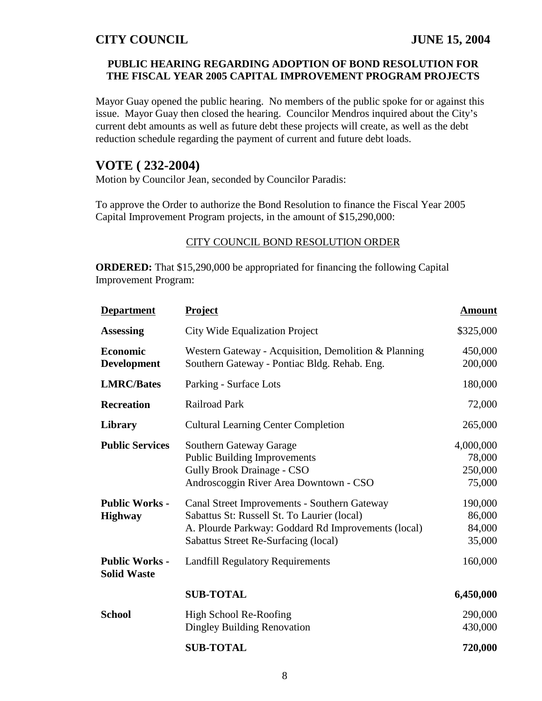### **PUBLIC HEARING REGARDING ADOPTION OF BOND RESOLUTION FOR THE FISCAL YEAR 2005 CAPITAL IMPROVEMENT PROGRAM PROJECTS**

Mayor Guay opened the public hearing. No members of the public spoke for or against this issue. Mayor Guay then closed the hearing. Councilor Mendros inquired about the City's current debt amounts as well as future debt these projects will create, as well as the debt reduction schedule regarding the payment of current and future debt loads.

# **VOTE ( 232-2004)**

Motion by Councilor Jean, seconded by Councilor Paradis:

To approve the Order to authorize the Bond Resolution to finance the Fiscal Year 2005 Capital Improvement Program projects, in the amount of \$15,290,000:

#### CITY COUNCIL BOND RESOLUTION ORDER

**ORDERED:** That \$15,290,000 be appropriated for financing the following Capital Improvement Program:

| <b>Department</b>                           | <b>Project</b>                                                                                                                                                                             | <b>Amount</b>                            |
|---------------------------------------------|--------------------------------------------------------------------------------------------------------------------------------------------------------------------------------------------|------------------------------------------|
| <b>Assessing</b>                            | <b>City Wide Equalization Project</b>                                                                                                                                                      | \$325,000                                |
| <b>Economic</b><br><b>Development</b>       | Western Gateway - Acquisition, Demolition & Planning<br>Southern Gateway - Pontiac Bldg. Rehab. Eng.                                                                                       | 450,000<br>200,000                       |
| <b>LMRC/Bates</b>                           | Parking - Surface Lots                                                                                                                                                                     | 180,000                                  |
| <b>Recreation</b>                           | <b>Railroad Park</b>                                                                                                                                                                       | 72,000                                   |
| Library                                     | <b>Cultural Learning Center Completion</b>                                                                                                                                                 | 265,000                                  |
| <b>Public Services</b>                      | <b>Southern Gateway Garage</b><br><b>Public Building Improvements</b><br><b>Gully Brook Drainage - CSO</b><br>Androscoggin River Area Downtown - CSO                                       | 4,000,000<br>78,000<br>250,000<br>75,000 |
| <b>Public Works -</b><br><b>Highway</b>     | Canal Street Improvements - Southern Gateway<br>Sabattus St: Russell St. To Laurier (local)<br>A. Plourde Parkway: Goddard Rd Improvements (local)<br>Sabattus Street Re-Surfacing (local) | 190,000<br>86,000<br>84,000<br>35,000    |
| <b>Public Works -</b><br><b>Solid Waste</b> | <b>Landfill Regulatory Requirements</b>                                                                                                                                                    | 160,000                                  |
|                                             | <b>SUB-TOTAL</b>                                                                                                                                                                           | 6,450,000                                |
| <b>School</b>                               | High School Re-Roofing<br>Dingley Building Renovation                                                                                                                                      | 290,000<br>430,000                       |
|                                             | <b>SUB-TOTAL</b>                                                                                                                                                                           | 720,000                                  |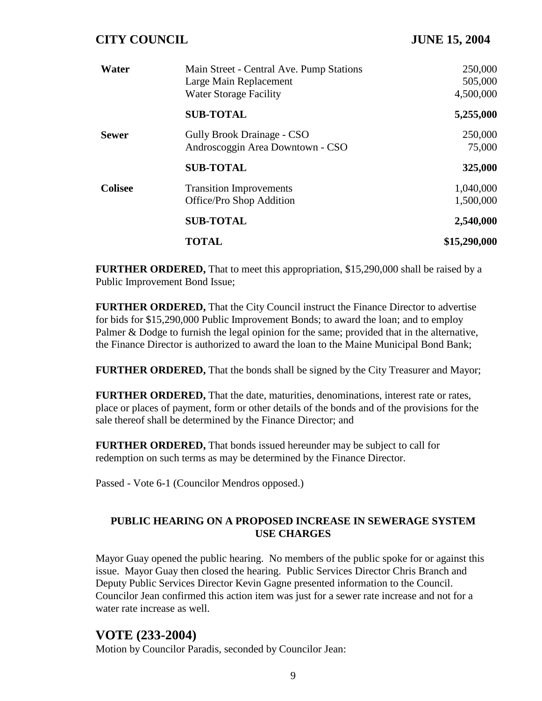| Water          | Main Street - Central Ave. Pump Stations<br>Large Main Replacement<br><b>Water Storage Facility</b> | 250,000<br>505,000<br>4,500,000 |
|----------------|-----------------------------------------------------------------------------------------------------|---------------------------------|
|                | <b>SUB-TOTAL</b>                                                                                    | 5,255,000                       |
| <b>Sewer</b>   | <b>Gully Brook Drainage - CSO</b><br>Androscoggin Area Downtown - CSO                               | 250,000<br>75,000               |
|                | <b>SUB-TOTAL</b>                                                                                    | 325,000                         |
| <b>Colisee</b> | <b>Transition Improvements</b><br>Office/Pro Shop Addition                                          | 1,040,000<br>1,500,000          |
|                | <b>SUB-TOTAL</b>                                                                                    | 2,540,000                       |
|                | <b>TOTAL</b>                                                                                        | \$15,290,000                    |

**FURTHER ORDERED,** That to meet this appropriation, \$15,290,000 shall be raised by a Public Improvement Bond Issue;

**FURTHER ORDERED,** That the City Council instruct the Finance Director to advertise for bids for \$15,290,000 Public Improvement Bonds; to award the loan; and to employ Palmer & Dodge to furnish the legal opinion for the same; provided that in the alternative, the Finance Director is authorized to award the loan to the Maine Municipal Bond Bank;

**FURTHER ORDERED,** That the bonds shall be signed by the City Treasurer and Mayor;

**FURTHER ORDERED,** That the date, maturities, denominations, interest rate or rates, place or places of payment, form or other details of the bonds and of the provisions for the sale thereof shall be determined by the Finance Director; and

**FURTHER ORDERED,** That bonds issued hereunder may be subject to call for redemption on such terms as may be determined by the Finance Director.

Passed - Vote 6-1 (Councilor Mendros opposed.)

### **PUBLIC HEARING ON A PROPOSED INCREASE IN SEWERAGE SYSTEM USE CHARGES**

Mayor Guay opened the public hearing. No members of the public spoke for or against this issue. Mayor Guay then closed the hearing. Public Services Director Chris Branch and Deputy Public Services Director Kevin Gagne presented information to the Council. Councilor Jean confirmed this action item was just for a sewer rate increase and not for a water rate increase as well.

### **VOTE (233-2004)**

Motion by Councilor Paradis, seconded by Councilor Jean: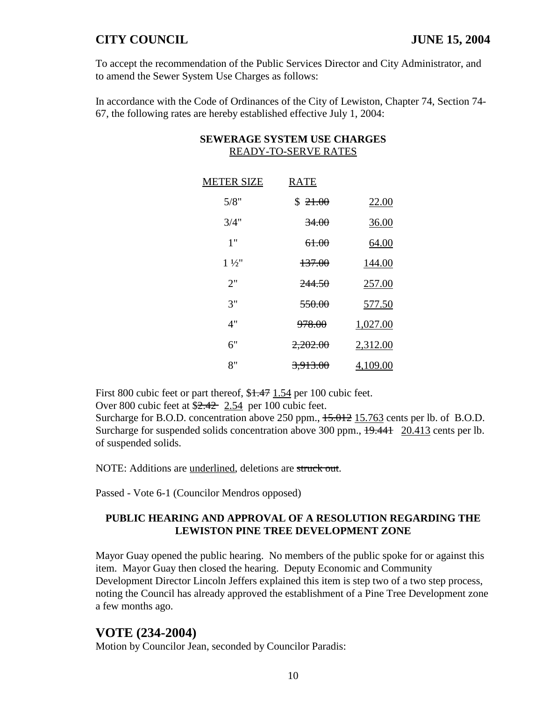To accept the recommendation of the Public Services Director and City Administrator, and to amend the Sewer System Use Charges as follows:

In accordance with the Code of Ordinances of the City of Lewiston, Chapter 74, Section 74- 67, the following rates are hereby established effective July 1, 2004:

| <b>METER SIZE</b> | <b>RATE</b>         |          |
|-------------------|---------------------|----------|
| 5/8"              | \$21.00             | 22.00    |
| 3/4"              | <del>34.00</del>    | 36.00    |
| 1"                | 61.00               | 64.00    |
| $1\frac{1}{2}$    | 137.00              | 144.00   |
| 2"                | <del>244.50</del>   | 257.00   |
| 3"                | <del>550.00</del>   | 577.50   |
| 4"                | <del>978.00</del>   | 1,027.00 |
| 6"                | 2,202.00            | 2,312.00 |
| 8"                | <del>3,913.00</del> | 4,109.00 |
|                   |                     |          |

### **SEWERAGE SYSTEM USE CHARGES** READY-TO-SERVE RATES

First 800 cubic feet or part thereof, \$1.47 1.54 per 100 cubic feet.

Over 800 cubic feet at \$2.42 2.54 per 100 cubic feet.

Surcharge for B.O.D. concentration above 250 ppm.,  $15.012$  15.763 cents per lb. of B.O.D. Surcharge for suspended solids concentration above 300 ppm.,  $\frac{19.441}{20.413}$  cents per lb. of suspended solids.

NOTE: Additions are underlined, deletions are struck out.

Passed - Vote 6-1 (Councilor Mendros opposed)

### **PUBLIC HEARING AND APPROVAL OF A RESOLUTION REGARDING THE LEWISTON PINE TREE DEVELOPMENT ZONE**

Mayor Guay opened the public hearing. No members of the public spoke for or against this item. Mayor Guay then closed the hearing. Deputy Economic and Community Development Director Lincoln Jeffers explained this item is step two of a two step process, noting the Council has already approved the establishment of a Pine Tree Development zone a few months ago.

### **VOTE (234-2004)**

Motion by Councilor Jean, seconded by Councilor Paradis: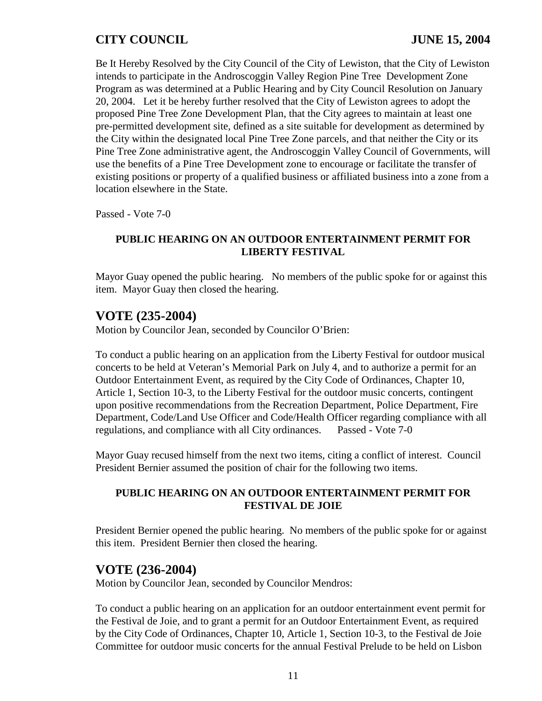Be It Hereby Resolved by the City Council of the City of Lewiston, that the City of Lewiston intends to participate in the Androscoggin Valley Region Pine Tree Development Zone Program as was determined at a Public Hearing and by City Council Resolution on January 20, 2004. Let it be hereby further resolved that the City of Lewiston agrees to adopt the proposed Pine Tree Zone Development Plan, that the City agrees to maintain at least one pre-permitted development site, defined as a site suitable for development as determined by the City within the designated local Pine Tree Zone parcels, and that neither the City or its Pine Tree Zone administrative agent, the Androscoggin Valley Council of Governments, will use the benefits of a Pine Tree Development zone to encourage or facilitate the transfer of existing positions or property of a qualified business or affiliated business into a zone from a location elsewhere in the State.

Passed - Vote 7-0

#### **PUBLIC HEARING ON AN OUTDOOR ENTERTAINMENT PERMIT FOR LIBERTY FESTIVAL**

Mayor Guay opened the public hearing. No members of the public spoke for or against this item. Mayor Guay then closed the hearing.

## **VOTE (235-2004)**

Motion by Councilor Jean, seconded by Councilor O'Brien:

To conduct a public hearing on an application from the Liberty Festival for outdoor musical concerts to be held at Veteran's Memorial Park on July 4, and to authorize a permit for an Outdoor Entertainment Event, as required by the City Code of Ordinances, Chapter 10, Article 1, Section 10-3, to the Liberty Festival for the outdoor music concerts, contingent upon positive recommendations from the Recreation Department, Police Department, Fire Department, Code/Land Use Officer and Code/Health Officer regarding compliance with all regulations, and compliance with all City ordinances. Passed - Vote 7-0

Mayor Guay recused himself from the next two items, citing a conflict of interest. Council President Bernier assumed the position of chair for the following two items.

### **PUBLIC HEARING ON AN OUTDOOR ENTERTAINMENT PERMIT FOR FESTIVAL DE JOIE**

President Bernier opened the public hearing. No members of the public spoke for or against this item. President Bernier then closed the hearing.

### **VOTE (236-2004)**

Motion by Councilor Jean, seconded by Councilor Mendros:

To conduct a public hearing on an application for an outdoor entertainment event permit for the Festival de Joie, and to grant a permit for an Outdoor Entertainment Event, as required by the City Code of Ordinances, Chapter 10, Article 1, Section 10-3, to the Festival de Joie Committee for outdoor music concerts for the annual Festival Prelude to be held on Lisbon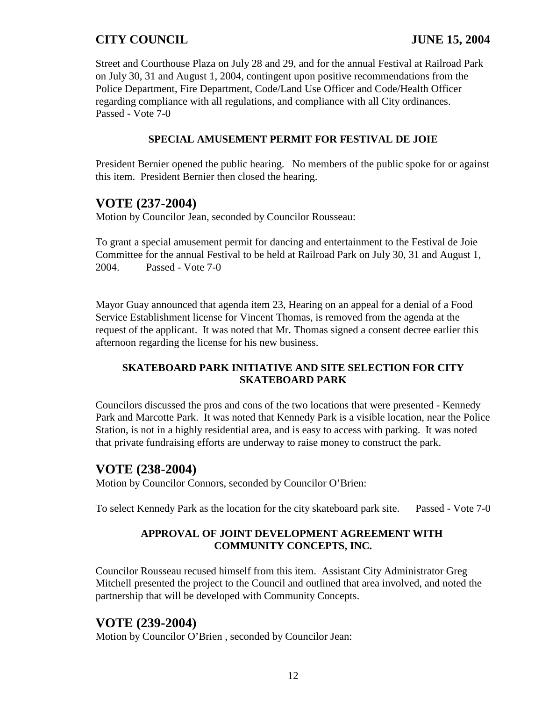Street and Courthouse Plaza on July 28 and 29, and for the annual Festival at Railroad Park on July 30, 31 and August 1, 2004, contingent upon positive recommendations from the Police Department, Fire Department, Code/Land Use Officer and Code/Health Officer regarding compliance with all regulations, and compliance with all City ordinances. Passed - Vote 7-0

#### **SPECIAL AMUSEMENT PERMIT FOR FESTIVAL DE JOIE**

President Bernier opened the public hearing. No members of the public spoke for or against this item. President Bernier then closed the hearing.

## **VOTE (237-2004)**

Motion by Councilor Jean, seconded by Councilor Rousseau:

To grant a special amusement permit for dancing and entertainment to the Festival de Joie Committee for the annual Festival to be held at Railroad Park on July 30, 31 and August 1, 2004. Passed - Vote 7-0

Mayor Guay announced that agenda item 23, Hearing on an appeal for a denial of a Food Service Establishment license for Vincent Thomas, is removed from the agenda at the request of the applicant. It was noted that Mr. Thomas signed a consent decree earlier this afternoon regarding the license for his new business.

### **SKATEBOARD PARK INITIATIVE AND SITE SELECTION FOR CITY SKATEBOARD PARK**

Councilors discussed the pros and cons of the two locations that were presented - Kennedy Park and Marcotte Park. It was noted that Kennedy Park is a visible location, near the Police Station, is not in a highly residential area, and is easy to access with parking. It was noted that private fundraising efforts are underway to raise money to construct the park.

### **VOTE (238-2004)**

Motion by Councilor Connors, seconded by Councilor O'Brien:

To select Kennedy Park as the location for the city skateboard park site. Passed - Vote 7-0

### **APPROVAL OF JOINT DEVELOPMENT AGREEMENT WITH COMMUNITY CONCEPTS, INC.**

Councilor Rousseau recused himself from this item. Assistant City Administrator Greg Mitchell presented the project to the Council and outlined that area involved, and noted the partnership that will be developed with Community Concepts.

### **VOTE (239-2004)**

Motion by Councilor O'Brien , seconded by Councilor Jean: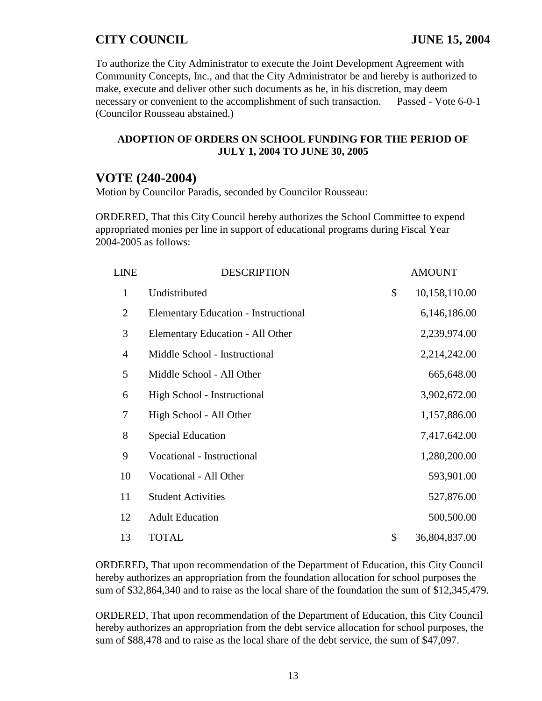To authorize the City Administrator to execute the Joint Development Agreement with Community Concepts, Inc., and that the City Administrator be and hereby is authorized to make, execute and deliver other such documents as he, in his discretion, may deem necessary or convenient to the accomplishment of such transaction. Passed - Vote 6-0-1 (Councilor Rousseau abstained.)

#### **ADOPTION OF ORDERS ON SCHOOL FUNDING FOR THE PERIOD OF JULY 1, 2004 TO JUNE 30, 2005**

# **VOTE (240-2004)**

Motion by Councilor Paradis, seconded by Councilor Rousseau:

ORDERED, That this City Council hereby authorizes the School Committee to expend appropriated monies per line in support of educational programs during Fiscal Year 2004-2005 as follows:

| <b>LINE</b>    | <b>DESCRIPTION</b>                          | <b>AMOUNT</b>       |
|----------------|---------------------------------------------|---------------------|
| $\mathbf{1}$   | Undistributed                               | \$<br>10,158,110.00 |
| $\overline{2}$ | <b>Elementary Education - Instructional</b> | 6,146,186.00        |
| 3              | Elementary Education - All Other            | 2,239,974.00        |
| $\overline{4}$ | Middle School - Instructional               | 2,214,242.00        |
| 5              | Middle School - All Other                   | 665,648.00          |
| 6              | High School - Instructional                 | 3,902,672.00        |
| 7              | High School - All Other                     | 1,157,886.00        |
| 8              | <b>Special Education</b>                    | 7,417,642.00        |
| 9              | Vocational - Instructional                  | 1,280,200.00        |
| 10             | Vocational - All Other                      | 593,901.00          |
| 11             | <b>Student Activities</b>                   | 527,876.00          |
| 12             | <b>Adult Education</b>                      | 500,500.00          |
| 13             | <b>TOTAL</b>                                | \$<br>36,804,837.00 |

ORDERED, That upon recommendation of the Department of Education, this City Council hereby authorizes an appropriation from the foundation allocation for school purposes the sum of \$32,864,340 and to raise as the local share of the foundation the sum of \$12,345,479.

ORDERED, That upon recommendation of the Department of Education, this City Council hereby authorizes an appropriation from the debt service allocation for school purposes, the sum of \$88,478 and to raise as the local share of the debt service, the sum of \$47,097.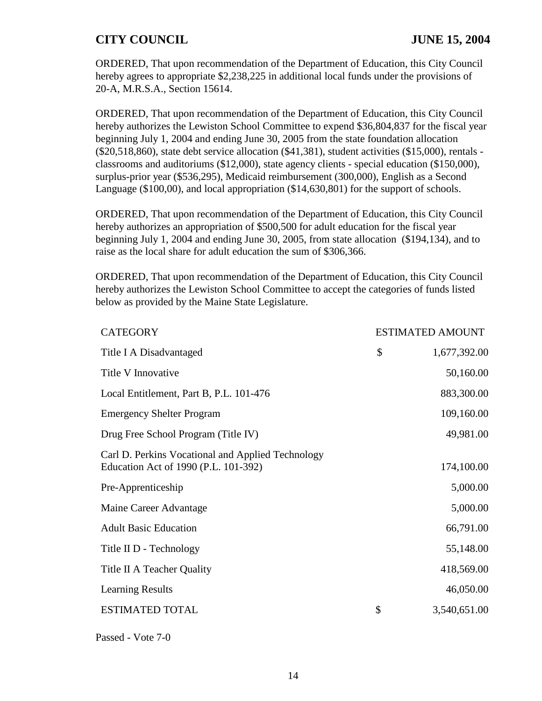ORDERED, That upon recommendation of the Department of Education, this City Council hereby agrees to appropriate \$2,238,225 in additional local funds under the provisions of 20-A, M.R.S.A., Section 15614.

ORDERED, That upon recommendation of the Department of Education, this City Council hereby authorizes the Lewiston School Committee to expend \$36,804,837 for the fiscal year beginning July 1, 2004 and ending June 30, 2005 from the state foundation allocation (\$20,518,860), state debt service allocation (\$41,381), student activities (\$15,000), rentals classrooms and auditoriums (\$12,000), state agency clients - special education (\$150,000), surplus-prior year (\$536,295), Medicaid reimbursement (300,000), English as a Second Language (\$100,00), and local appropriation (\$14,630,801) for the support of schools.

ORDERED, That upon recommendation of the Department of Education, this City Council hereby authorizes an appropriation of \$500,500 for adult education for the fiscal year beginning July 1, 2004 and ending June 30, 2005, from state allocation (\$194,134), and to raise as the local share for adult education the sum of \$306,366.

ORDERED, That upon recommendation of the Department of Education, this City Council hereby authorizes the Lewiston School Committee to accept the categories of funds listed below as provided by the Maine State Legislature.

| <b>CATEGORY</b>                                                                           | <b>ESTIMATED AMOUNT</b> |
|-------------------------------------------------------------------------------------------|-------------------------|
| Title I A Disadvantaged                                                                   | \$<br>1,677,392.00      |
| Title V Innovative                                                                        | 50,160.00               |
| Local Entitlement, Part B, P.L. 101-476                                                   | 883,300.00              |
| <b>Emergency Shelter Program</b>                                                          | 109,160.00              |
| Drug Free School Program (Title IV)                                                       | 49,981.00               |
| Carl D. Perkins Vocational and Applied Technology<br>Education Act of 1990 (P.L. 101-392) | 174,100.00              |
| Pre-Apprenticeship                                                                        | 5,000.00                |
| Maine Career Advantage                                                                    | 5,000.00                |
| <b>Adult Basic Education</b>                                                              | 66,791.00               |
| Title II D - Technology                                                                   | 55,148.00               |
| Title II A Teacher Quality                                                                | 418,569.00              |
| <b>Learning Results</b>                                                                   | 46,050.00               |
| <b>ESTIMATED TOTAL</b>                                                                    | \$<br>3,540,651.00      |
|                                                                                           |                         |

Passed - Vote 7-0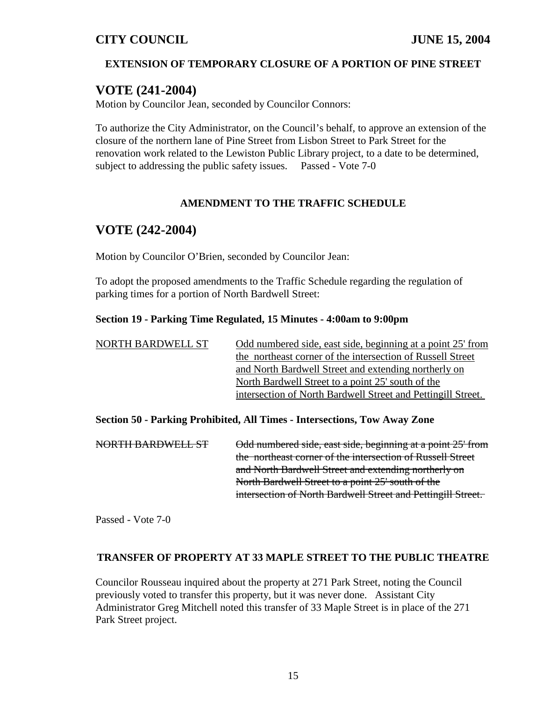### **EXTENSION OF TEMPORARY CLOSURE OF A PORTION OF PINE STREET**

# **VOTE (241-2004)**

Motion by Councilor Jean, seconded by Councilor Connors:

To authorize the City Administrator, on the Council's behalf, to approve an extension of the closure of the northern lane of Pine Street from Lisbon Street to Park Street for the renovation work related to the Lewiston Public Library project, to a date to be determined, subject to addressing the public safety issues. Passed - Vote 7-0

### **AMENDMENT TO THE TRAFFIC SCHEDULE**

# **VOTE (242-2004)**

Motion by Councilor O'Brien, seconded by Councilor Jean:

To adopt the proposed amendments to the Traffic Schedule regarding the regulation of parking times for a portion of North Bardwell Street:

#### **Section 19 - Parking Time Regulated, 15 Minutes - 4:00am to 9:00pm**

| NORTH BARDWELL ST | Odd numbered side, east side, beginning at a point 25' from  |
|-------------------|--------------------------------------------------------------|
|                   | the northeast corner of the intersection of Russell Street   |
|                   | and North Bardwell Street and extending northerly on         |
|                   | North Bardwell Street to a point 25' south of the            |
|                   | intersection of North Bardwell Street and Pettingill Street. |

**Section 50 - Parking Prohibited, All Times - Intersections, Tow Away Zone**

| NORTH BARDWELL ST | Odd numbered side, east side, beginning at a point 25' from  |
|-------------------|--------------------------------------------------------------|
|                   | the northeast corner of the intersection of Russell Street   |
|                   | and North Bardwell Street and extending northerly on         |
|                   | North Bardwell Street to a point 25' south of the            |
|                   | intersection of North Bardwell Street and Pettingill Street. |

Passed - Vote 7-0

#### **TRANSFER OF PROPERTY AT 33 MAPLE STREET TO THE PUBLIC THEATRE**

Councilor Rousseau inquired about the property at 271 Park Street, noting the Council previously voted to transfer this property, but it was never done. Assistant City Administrator Greg Mitchell noted this transfer of 33 Maple Street is in place of the 271 Park Street project.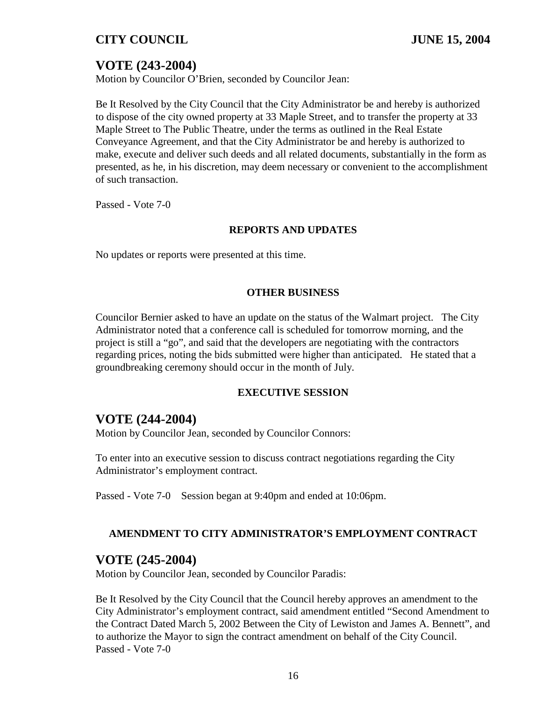# **VOTE (243-2004)**

Motion by Councilor O'Brien, seconded by Councilor Jean:

Be It Resolved by the City Council that the City Administrator be and hereby is authorized to dispose of the city owned property at 33 Maple Street, and to transfer the property at 33 Maple Street to The Public Theatre, under the terms as outlined in the Real Estate Conveyance Agreement, and that the City Administrator be and hereby is authorized to make, execute and deliver such deeds and all related documents, substantially in the form as presented, as he, in his discretion, may deem necessary or convenient to the accomplishment of such transaction.

Passed - Vote 7-0

#### **REPORTS AND UPDATES**

No updates or reports were presented at this time.

#### **OTHER BUSINESS**

Councilor Bernier asked to have an update on the status of the Walmart project. The City Administrator noted that a conference call is scheduled for tomorrow morning, and the project is still a "go", and said that the developers are negotiating with the contractors regarding prices, noting the bids submitted were higher than anticipated. He stated that a groundbreaking ceremony should occur in the month of July.

#### **EXECUTIVE SESSION**

### **VOTE (244-2004)**

Motion by Councilor Jean, seconded by Councilor Connors:

To enter into an executive session to discuss contract negotiations regarding the City Administrator's employment contract.

Passed - Vote 7-0 Session began at 9:40pm and ended at 10:06pm.

### **AMENDMENT TO CITY ADMINISTRATOR'S EMPLOYMENT CONTRACT**

### **VOTE (245-2004)**

Motion by Councilor Jean, seconded by Councilor Paradis:

Be It Resolved by the City Council that the Council hereby approves an amendment to the City Administrator's employment contract, said amendment entitled "Second Amendment to the Contract Dated March 5, 2002 Between the City of Lewiston and James A. Bennett", and to authorize the Mayor to sign the contract amendment on behalf of the City Council. Passed - Vote 7-0